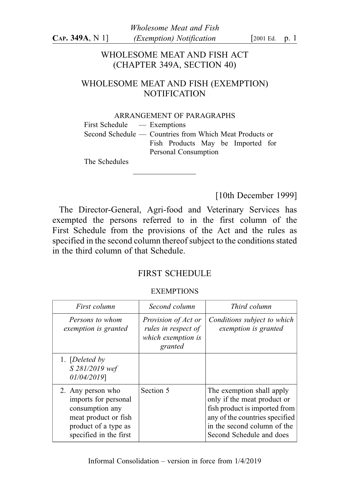# WHOLESOME MEAT AND FISH ACT (CHAPTER 349A, SECTION 40)

# WHOLESOME MEAT AND FISH (EXEMPTION) **NOTIFICATION**

#### ARRANGEMENT OF PARAGRAPHS

First Schedule — Exemptions

Second Schedule — Countries from Which Meat Products or Fish Products May be Imported for Personal Consumption

The Schedules

[10th December 1999]

The Director-General, Agri-food and Veterinary Services has exempted the persons referred to in the first column of the First Schedule from the provisions of the Act and the rules as specified in the second column thereof subject to the conditions stated in the third column of that Schedule.

# FIRST SCHEDULE

#### **EXEMPTIONS**

| First column                                                                                                                           | Second column                                                               | Third column                                                                                                                                                                           |
|----------------------------------------------------------------------------------------------------------------------------------------|-----------------------------------------------------------------------------|----------------------------------------------------------------------------------------------------------------------------------------------------------------------------------------|
| Persons to whom<br>exemption is granted                                                                                                | Provision of Act or<br>rules in respect of<br>which exemption is<br>granted | Conditions subject to which<br>exemption is granted                                                                                                                                    |
| 1. [Deleted by<br>S 281/2019 wef<br>01/04/2019]                                                                                        |                                                                             |                                                                                                                                                                                        |
| 2. Any person who<br>imports for personal<br>consumption any<br>meat product or fish<br>product of a type as<br>specified in the first | Section 5                                                                   | The exemption shall apply<br>only if the meat product or<br>fish product is imported from<br>any of the countries specified<br>in the second column of the<br>Second Schedule and does |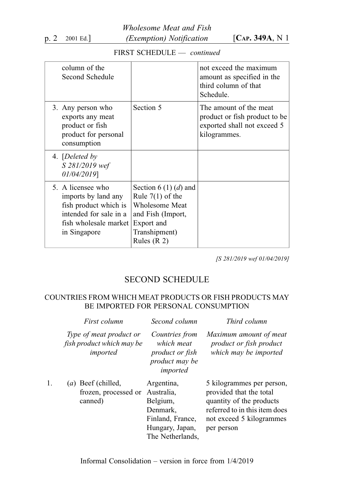Wholesome Meat and Fish p. 2 2001 Ed.]  $(Exemption) Notification$   $[Car. 349A, N1]$ 

# FIRST SCHEDULE — continued

| column of the<br>Second Schedule                                                                                                     |                                                                                                                                           | not exceed the maximum<br>amount as specified in the<br>third column of that<br>Schedule.              |
|--------------------------------------------------------------------------------------------------------------------------------------|-------------------------------------------------------------------------------------------------------------------------------------------|--------------------------------------------------------------------------------------------------------|
| 3. Any person who<br>exports any meat<br>product or fish<br>product for personal<br>consumption                                      | Section 5                                                                                                                                 | The amount of the meat<br>product or fish product to be<br>exported shall not exceed 5<br>kilogrammes. |
| 4. [Deleted by<br>S 281/2019 wef<br>01/04/2019]                                                                                      |                                                                                                                                           |                                                                                                        |
| 5. A licensee who<br>imports by land any<br>fish product which is<br>intended for sale in a<br>fish wholesale market<br>in Singapore | Section 6 (1) (d) and<br>Rule $7(1)$ of the<br><b>Wholesome Meat</b><br>and Fish (Import,<br>Export and<br>Transhipment)<br>Rules $(R 2)$ |                                                                                                        |

[S 281/2019 wef 01/04/2019]

## SECOND SCHEDULE

#### COUNTRIES FROM WHICH MEAT PRODUCTS OR FISH PRODUCTS MAY BE IMPORTED FOR PERSONAL CONSUMPTION

|    | First column                                                     | Second column                                                                                               | Third column                                                                                                                                                |
|----|------------------------------------------------------------------|-------------------------------------------------------------------------------------------------------------|-------------------------------------------------------------------------------------------------------------------------------------------------------------|
|    | Type of meat product or<br>fish product which may be<br>imported | Countries from<br>which meat<br>product or fish<br>product may be<br>imported                               | Maximum amount of meat<br>product or fish product<br>which may be imported                                                                                  |
| 1. | $(a)$ Beef (chilled,<br>frozen, processed or<br>canned)          | Argentina,<br>Australia,<br>Belgium,<br>Denmark,<br>Finland, France,<br>Hungary, Japan,<br>The Netherlands, | 5 kilogrammes per person,<br>provided that the total<br>quantity of the products<br>referred to in this item does<br>not exceed 5 kilogrammes<br>per person |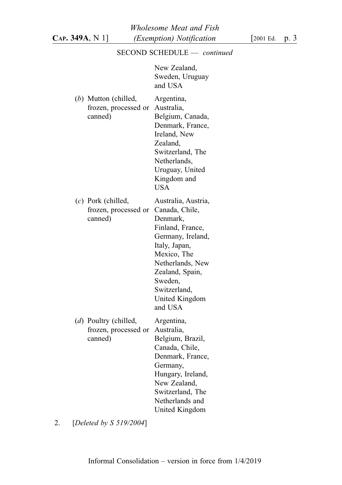## SECOND SCHEDULE — continued

New Zealand, Sweden, Uruguay and USA

| (b) Mutton (chilled,<br>frozen, processed or<br>canned)  | Argentina,<br>Australia,<br>Belgium, Canada,<br>Denmark, France,<br>Ireland, New<br>Zealand,<br>Switzerland, The<br>Netherlands,<br>Uruguay, United<br>Kingdom and<br><b>USA</b>                                          |
|----------------------------------------------------------|---------------------------------------------------------------------------------------------------------------------------------------------------------------------------------------------------------------------------|
| (c) Pork (chilled,<br>frozen, processed or<br>canned)    | Australia, Austria,<br>Canada, Chile,<br>Denmark,<br>Finland, France,<br>Germany, Ireland,<br>Italy, Japan,<br>Mexico, The<br>Netherlands, New<br>Zealand, Spain,<br>Sweden,<br>Switzerland,<br>United Kingdom<br>and USA |
| (d) Poultry (chilled,<br>frozen, processed or<br>canned) | Argentina,<br>Australia,<br>Belgium, Brazil,<br>Canada, Chile,<br>Denmark, France,<br>Germany,<br>Hungary, Ireland,<br>New Zealand,<br>Switzerland, The<br>Netherlands and<br>United Kingdom                              |

2. [Deleted by S 519/2004]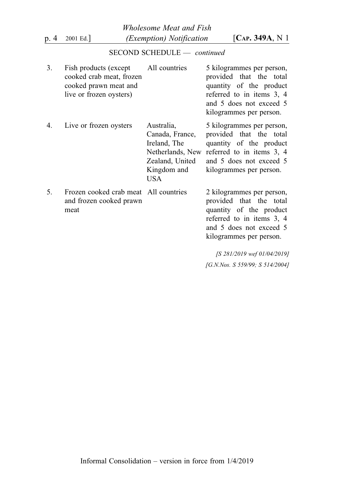Wholesome Meat and Fish p. 4 2001 Ed.] (*Exemption*) Notification [CAP. 349A, N 1]

## SECOND SCHEDULE — continued

| 3. | Fish products (except All countries<br>cooked crab meat, frozen<br>cooked prawn meat and<br>live or frozen oysters) |                                                                                                            | 5 kilogrammes per person,<br>provided that the total<br>quantity of the product<br>referred to in items 3, 4<br>and 5 does not exceed 5<br>kilogrammes per person. |
|----|---------------------------------------------------------------------------------------------------------------------|------------------------------------------------------------------------------------------------------------|--------------------------------------------------------------------------------------------------------------------------------------------------------------------|
| 4. | Live or frozen oysters                                                                                              | Australia,<br>Canada, France,<br>Ireland, The<br>Netherlands, New<br>Zealand, United<br>Kingdom and<br>USA | 5 kilogrammes per person,<br>provided that the total<br>quantity of the product<br>referred to in items 3, 4<br>and 5 does not exceed 5<br>kilogrammes per person. |
| 5. | Frozen cooked crab meat All countries<br>and frozen cooked prawn<br>meat                                            |                                                                                                            | 2 kilogrammes per person,<br>provided that the total<br>quantity of the product                                                                                    |

referred to in items 3, 4 and 5 does not exceed 5 kilogrammes per person.

[S 281/2019 wef 01/04/2019] [G.N.Nos. S 559/99; S 514/2004]